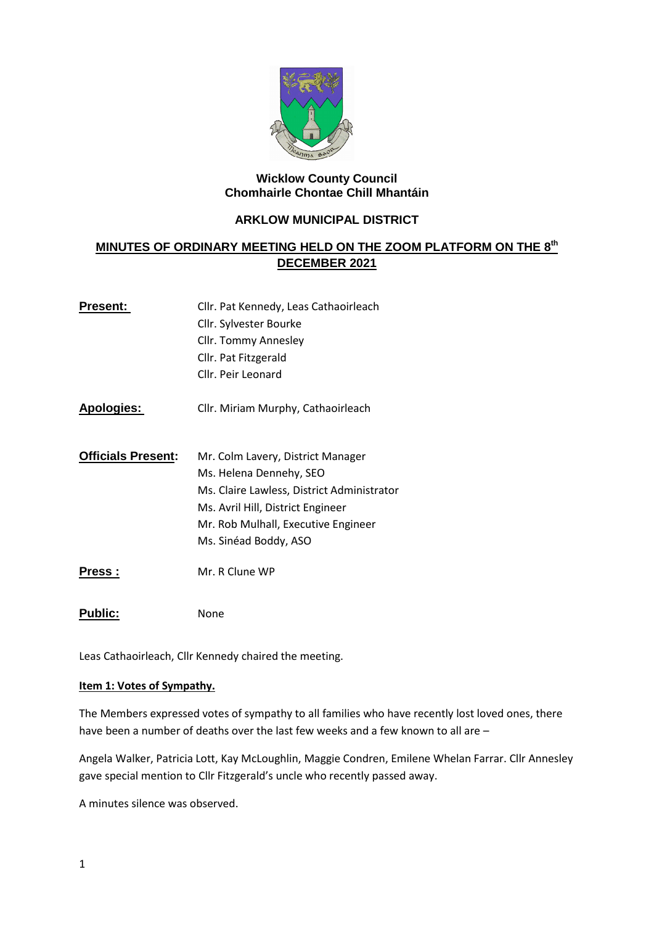

### **Wicklow County Council Chomhairle Chontae Chill Mhantáin**

## **ARKLOW MUNICIPAL DISTRICT**

# **MINUTES OF ORDINARY MEETING HELD ON THE ZOOM PLATFORM ON THE 8 th DECEMBER 2021**

| Present:                  | Cllr. Pat Kennedy, Leas Cathaoirleach      |  |
|---------------------------|--------------------------------------------|--|
|                           | Cllr. Sylvester Bourke                     |  |
|                           | Cllr. Tommy Annesley                       |  |
|                           | Cllr. Pat Fitzgerald                       |  |
|                           | Cllr. Peir Leonard                         |  |
| <u> Apologies:</u>        | Cllr. Miriam Murphy, Cathaoirleach         |  |
| <b>Officials Present:</b> | Mr. Colm Lavery, District Manager          |  |
|                           | Ms. Helena Dennehy, SEO                    |  |
|                           | Ms. Claire Lawless, District Administrator |  |
|                           | Ms. Avril Hill, District Engineer          |  |
|                           | Mr. Rob Mulhall, Executive Engineer        |  |
|                           | Ms. Sinéad Boddy, ASO                      |  |
| Press :                   | Mr. R Clune WP                             |  |
| <b>Public:</b>            | None                                       |  |

Leas Cathaoirleach, Cllr Kennedy chaired the meeting.

### **Item 1: Votes of Sympathy.**

The Members expressed votes of sympathy to all families who have recently lost loved ones, there have been a number of deaths over the last few weeks and a few known to all are –

Angela Walker, Patricia Lott, Kay McLoughlin, Maggie Condren, Emilene Whelan Farrar. Cllr Annesley gave special mention to Cllr Fitzgerald's uncle who recently passed away.

A minutes silence was observed.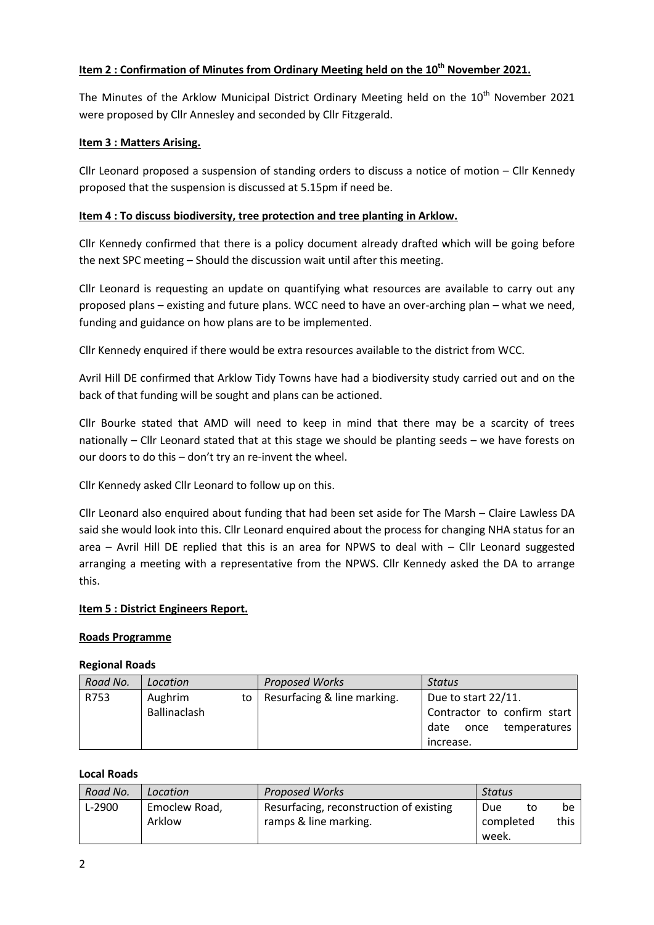## **Item 2 : Confirmation of Minutes from Ordinary Meeting held on the 10th November 2021.**

The Minutes of the Arklow Municipal District Ordinary Meeting held on the 10<sup>th</sup> November 2021 were proposed by Cllr Annesley and seconded by Cllr Fitzgerald.

## **Item 3 : Matters Arising.**

Cllr Leonard proposed a suspension of standing orders to discuss a notice of motion – Cllr Kennedy proposed that the suspension is discussed at 5.15pm if need be.

## **Item 4 : To discuss biodiversity, tree protection and tree planting in Arklow.**

Cllr Kennedy confirmed that there is a policy document already drafted which will be going before the next SPC meeting – Should the discussion wait until after this meeting.

Cllr Leonard is requesting an update on quantifying what resources are available to carry out any proposed plans – existing and future plans. WCC need to have an over-arching plan – what we need, funding and guidance on how plans are to be implemented.

Cllr Kennedy enquired if there would be extra resources available to the district from WCC.

Avril Hill DE confirmed that Arklow Tidy Towns have had a biodiversity study carried out and on the back of that funding will be sought and plans can be actioned.

Cllr Bourke stated that AMD will need to keep in mind that there may be a scarcity of trees nationally – Cllr Leonard stated that at this stage we should be planting seeds – we have forests on our doors to do this – don't try an re-invent the wheel.

Cllr Kennedy asked Cllr Leonard to follow up on this.

Cllr Leonard also enquired about funding that had been set aside for The Marsh – Claire Lawless DA said she would look into this. Cllr Leonard enquired about the process for changing NHA status for an area – Avril Hill DE replied that this is an area for NPWS to deal with – Cllr Leonard suggested arranging a meeting with a representative from the NPWS. Cllr Kennedy asked the DA to arrange this.

## **Item 5 : District Engineers Report.**

## **Roads Programme**

## **Regional Roads**

| Road No. | Location     | <b>Proposed Works</b>            | <b>Status</b>                |
|----------|--------------|----------------------------------|------------------------------|
| R753     | Aughrim      | to   Resurfacing & line marking. | Due to start 22/11.          |
|          | Ballinaclash |                                  | Contractor to confirm start  |
|          |              |                                  | temperatures<br>once<br>date |
|          |              |                                  | increase.                    |

## **Local Roads**

| Road No. | Location                | <b>Proposed Works</b>                                            | Status                          |            |
|----------|-------------------------|------------------------------------------------------------------|---------------------------------|------------|
| L-2900   | Emoclew Road,<br>Arklow | Resurfacing, reconstruction of existing<br>ramps & line marking. | Due<br>to<br>completed<br>week. | be<br>this |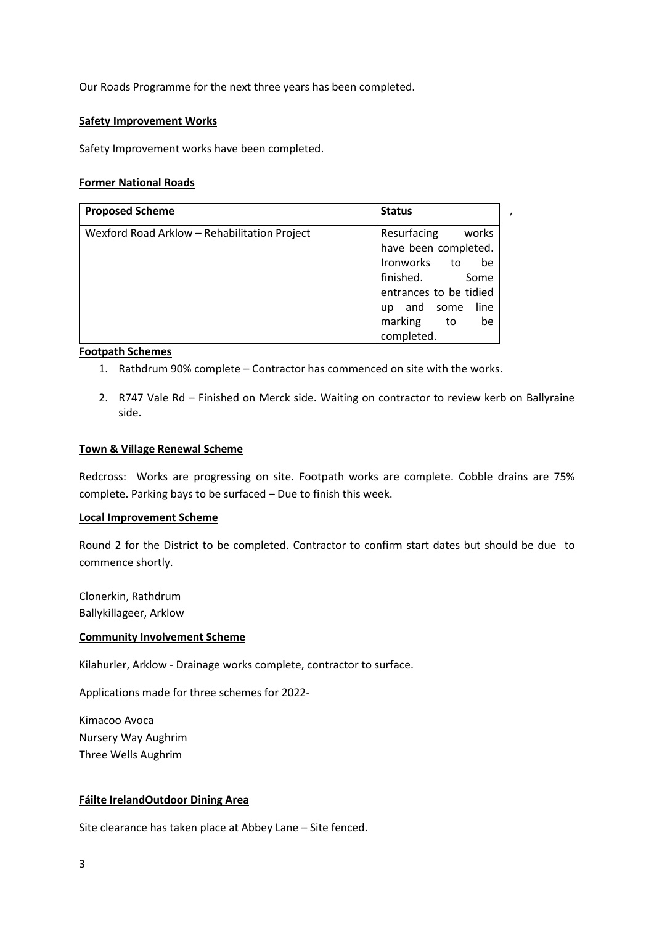Our Roads Programme for the next three years has been completed.

### **Safety Improvement Works**

Safety Improvement works have been completed.

#### **Former National Roads**

| <b>Proposed Scheme</b>                       | <b>Status</b>                 |
|----------------------------------------------|-------------------------------|
| Wexford Road Arklow - Rehabilitation Project | Resurfacing<br>works          |
|                                              | have been completed.          |
|                                              | Ironworks to<br>be            |
|                                              | finished.<br>Some             |
|                                              | entrances to be tidied        |
|                                              | line<br>and some<br><b>up</b> |
|                                              | marking<br>to<br>be           |
|                                              | completed.                    |

### **Footpath Schemes**

- 1. Rathdrum 90% complete Contractor has commenced on site with the works.
- 2. R747 Vale Rd Finished on Merck side. Waiting on contractor to review kerb on Ballyraine side.

,

#### **Town & Village Renewal Scheme**

Redcross: Works are progressing on site. Footpath works are complete. Cobble drains are 75% complete. Parking bays to be surfaced – Due to finish this week.

#### **Local Improvement Scheme**

Round 2 for the District to be completed. Contractor to confirm start dates but should be due to commence shortly.

Clonerkin, Rathdrum Ballykillageer, Arklow

#### **Community Involvement Scheme**

Kilahurler, Arklow - Drainage works complete, contractor to surface.

Applications made for three schemes for 2022-

Kimacoo Avoca Nursery Way Aughrim Three Wells Aughrim

#### **Fáilte IrelandOutdoor Dining Area**

Site clearance has taken place at Abbey Lane – Site fenced.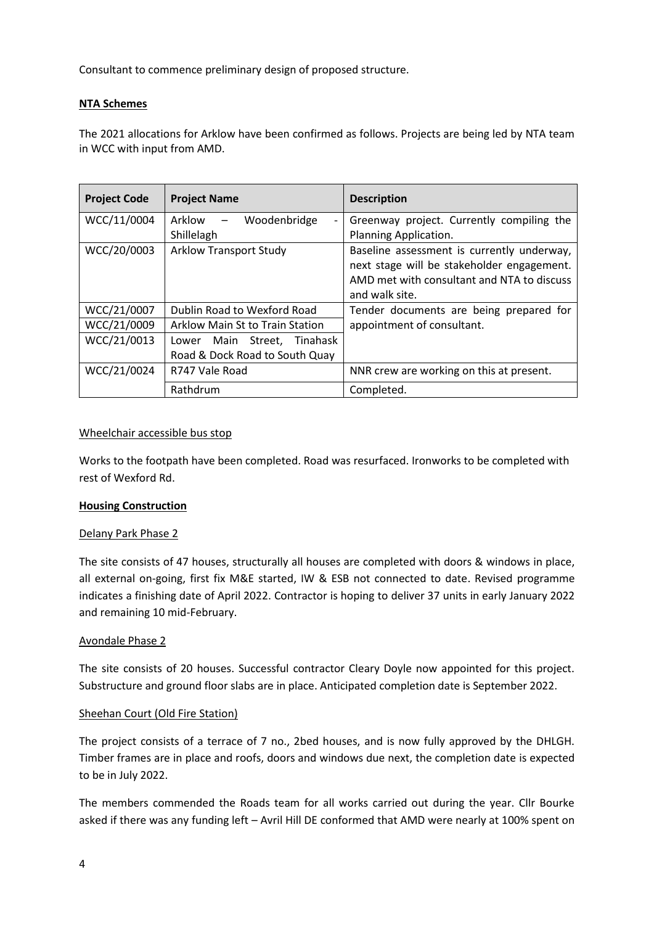Consultant to commence preliminary design of proposed structure.

### **NTA Schemes**

The 2021 allocations for Arklow have been confirmed as follows. Projects are being led by NTA team in WCC with input from AMD.

| <b>Project Code</b> | <b>Project Name</b>                                                 | <b>Description</b>                                                                                                                                       |
|---------------------|---------------------------------------------------------------------|----------------------------------------------------------------------------------------------------------------------------------------------------------|
| WCC/11/0004         | Arklow<br>Woodenbridge<br>$\qquad \qquad -$<br>Shillelagh           | Greenway project. Currently compiling the<br>Planning Application.                                                                                       |
| WCC/20/0003         | <b>Arklow Transport Study</b>                                       | Baseline assessment is currently underway,<br>next stage will be stakeholder engagement.<br>AMD met with consultant and NTA to discuss<br>and walk site. |
| WCC/21/0007         | Dublin Road to Wexford Road                                         | Tender documents are being prepared for                                                                                                                  |
| WCC/21/0009         | Arklow Main St to Train Station                                     | appointment of consultant.                                                                                                                               |
| WCC/21/0013         | Main Street.<br>Tinahask<br>Lower<br>Road & Dock Road to South Quay |                                                                                                                                                          |
| WCC/21/0024         | R747 Vale Road                                                      | NNR crew are working on this at present.                                                                                                                 |
|                     | Rathdrum                                                            | Completed.                                                                                                                                               |

#### Wheelchair accessible bus stop

Works to the footpath have been completed. Road was resurfaced. Ironworks to be completed with rest of Wexford Rd.

### **Housing Construction**

#### Delany Park Phase 2

The site consists of 47 houses, structurally all houses are completed with doors & windows in place, all external on-going, first fix M&E started, IW & ESB not connected to date. Revised programme indicates a finishing date of April 2022. Contractor is hoping to deliver 37 units in early January 2022 and remaining 10 mid-February.

### Avondale Phase 2

The site consists of 20 houses. Successful contractor Cleary Doyle now appointed for this project. Substructure and ground floor slabs are in place. Anticipated completion date is September 2022.

### Sheehan Court (Old Fire Station)

The project consists of a terrace of 7 no., 2bed houses, and is now fully approved by the DHLGH. Timber frames are in place and roofs, doors and windows due next, the completion date is expected to be in July 2022.

The members commended the Roads team for all works carried out during the year. Cllr Bourke asked if there was any funding left – Avril Hill DE conformed that AMD were nearly at 100% spent on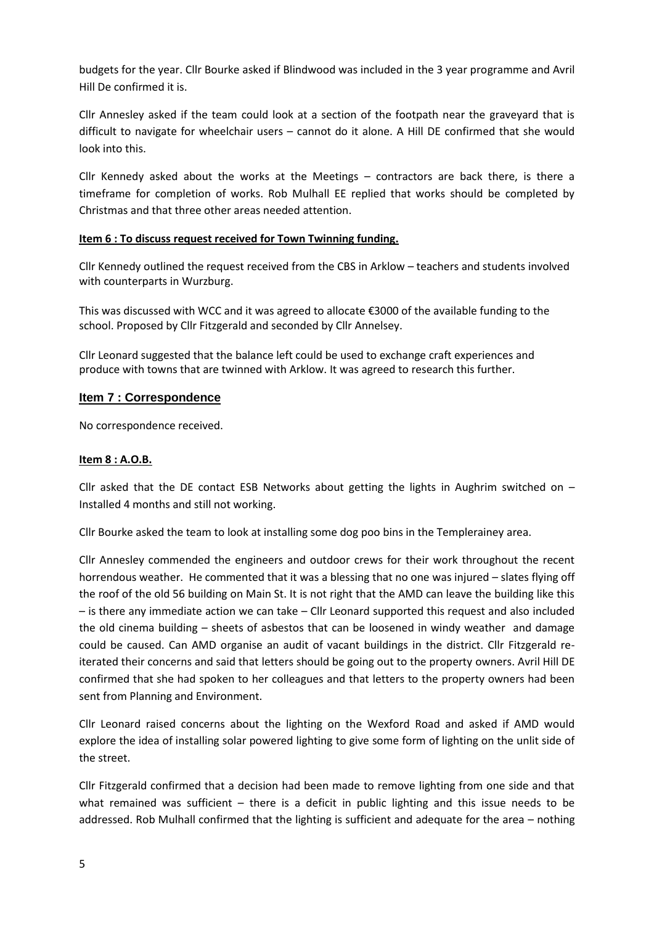budgets for the year. Cllr Bourke asked if Blindwood was included in the 3 year programme and Avril Hill De confirmed it is.

Cllr Annesley asked if the team could look at a section of the footpath near the graveyard that is difficult to navigate for wheelchair users – cannot do it alone. A Hill DE confirmed that she would look into this.

Cllr Kennedy asked about the works at the Meetings – contractors are back there, is there a timeframe for completion of works. Rob Mulhall EE replied that works should be completed by Christmas and that three other areas needed attention.

## **Item 6 : To discuss request received for Town Twinning funding.**

Cllr Kennedy outlined the request received from the CBS in Arklow – teachers and students involved with counterparts in Wurzburg.

This was discussed with WCC and it was agreed to allocate €3000 of the available funding to the school. Proposed by Cllr Fitzgerald and seconded by Cllr Annelsey.

Cllr Leonard suggested that the balance left could be used to exchange craft experiences and produce with towns that are twinned with Arklow. It was agreed to research this further.

## **Item 7 : Correspondence**

No correspondence received.

## **Item 8 : A.O.B.**

Cllr asked that the DE contact ESB Networks about getting the lights in Aughrim switched on  $-$ Installed 4 months and still not working.

Cllr Bourke asked the team to look at installing some dog poo bins in the Templerainey area.

Cllr Annesley commended the engineers and outdoor crews for their work throughout the recent horrendous weather. He commented that it was a blessing that no one was injured – slates flying off the roof of the old 56 building on Main St. It is not right that the AMD can leave the building like this – is there any immediate action we can take – Cllr Leonard supported this request and also included the old cinema building – sheets of asbestos that can be loosened in windy weather and damage could be caused. Can AMD organise an audit of vacant buildings in the district. Cllr Fitzgerald reiterated their concerns and said that letters should be going out to the property owners. Avril Hill DE confirmed that she had spoken to her colleagues and that letters to the property owners had been sent from Planning and Environment.

Cllr Leonard raised concerns about the lighting on the Wexford Road and asked if AMD would explore the idea of installing solar powered lighting to give some form of lighting on the unlit side of the street.

Cllr Fitzgerald confirmed that a decision had been made to remove lighting from one side and that what remained was sufficient  $-$  there is a deficit in public lighting and this issue needs to be addressed. Rob Mulhall confirmed that the lighting is sufficient and adequate for the area – nothing